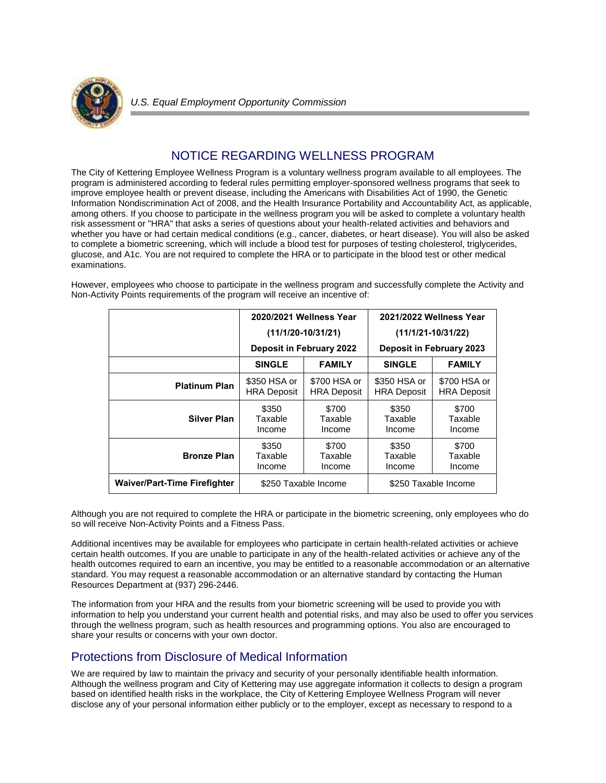

## NOTICE REGARDING WELLNESS PROGRAM

The City of Kettering Employee Wellness Program is a voluntary wellness program available to all employees. The program is administered according to federal rules permitting employer-sponsored wellness programs that seek to improve employee health or prevent disease, including the Americans with Disabilities Act of 1990, the Genetic Information Nondiscrimination Act of 2008, and the Health Insurance Portability and Accountability Act, as applicable, among others. If you choose to participate in the wellness program you will be asked to complete a voluntary health risk assessment or "HRA" that asks a series of questions about your health-related activities and behaviors and whether you have or had certain medical conditions (e.g., cancer, diabetes, or heart disease). You will also be asked to complete a biometric screening, which will include a blood test for purposes of testing cholesterol, triglycerides, glucose, and A1c. You are not required to complete the HRA or to participate in the blood test or other medical examinations.

However, employees who choose to participate in the wellness program and successfully complete the Activity and Non-Activity Points requirements of the program will receive an incentive of:

|                                     | 2020/2021 Wellness Year<br>$(11/1/20-10/31/21)$<br><b>Deposit in February 2022</b> |                                    | 2021/2022 Wellness Year<br>$(11/1/21-10/31/22)$ |                                    |
|-------------------------------------|------------------------------------------------------------------------------------|------------------------------------|-------------------------------------------------|------------------------------------|
|                                     |                                                                                    |                                    |                                                 |                                    |
|                                     |                                                                                    |                                    | <b>Deposit in February 2023</b>                 |                                    |
|                                     | <b>SINGLE</b>                                                                      | <b>FAMILY</b>                      | <b>SINGLE</b>                                   | <b>FAMILY</b>                      |
| <b>Platinum Plan</b>                | \$350 HSA or<br><b>HRA Deposit</b>                                                 | \$700 HSA or<br><b>HRA Deposit</b> | \$350 HSA or<br><b>HRA Deposit</b>              | \$700 HSA or<br><b>HRA Deposit</b> |
| Silver Plan                         | \$350<br>Taxable<br>Income                                                         | \$700<br>Taxable<br>Income         | \$350<br>Taxable<br>Income                      | \$700<br>Taxable<br>Income         |
| <b>Bronze Plan</b>                  | \$350<br>Taxable<br>Income                                                         | \$700<br>Taxable<br>Income         | \$350<br>Taxable<br>Income                      | \$700<br>Taxable<br>Income         |
| <b>Waiver/Part-Time Firefighter</b> | \$250 Taxable Income                                                               |                                    | \$250 Taxable Income                            |                                    |

Although you are not required to complete the HRA or participate in the biometric screening, only employees who do so will receive Non-Activity Points and a Fitness Pass.

Additional incentives may be available for employees who participate in certain health-related activities or achieve certain health outcomes. If you are unable to participate in any of the health-related activities or achieve any of the health outcomes required to earn an incentive, you may be entitled to a reasonable accommodation or an alternative standard. You may request a reasonable accommodation or an alternative standard by contacting the Human Resources Department at (937) 296-2446.

The information from your HRA and the results from your biometric screening will be used to provide you with information to help you understand your current health and potential risks, and may also be used to offer you services through the wellness program, such as health resources and programming options. You also are encouraged to share your results or concerns with your own doctor.

## Protections from Disclosure of Medical Information

We are required by law to maintain the privacy and security of your personally identifiable health information. Although the wellness program and City of Kettering may use aggregate information it collects to design a program based on identified health risks in the workplace, the City of Kettering Employee Wellness Program will never disclose any of your personal information either publicly or to the employer, except as necessary to respond to a